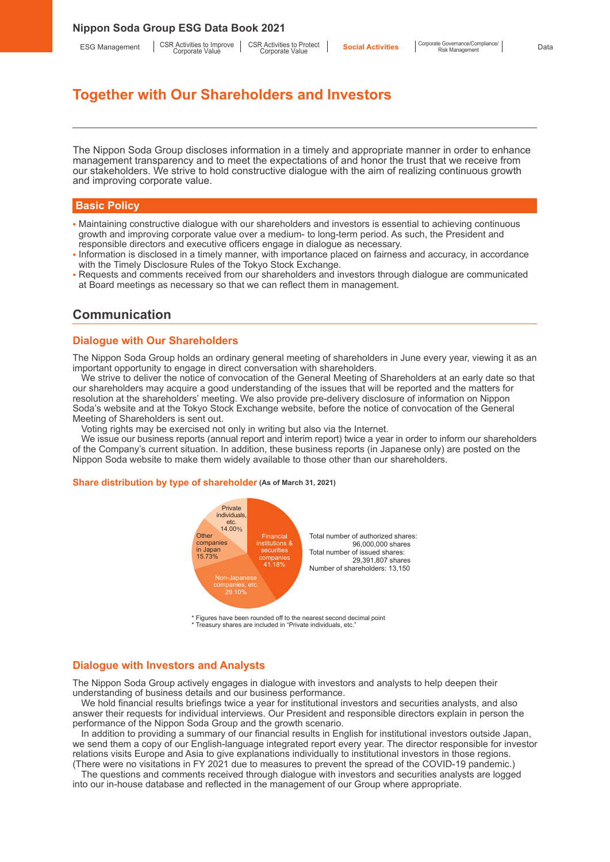ESG Management | CSR Activities to Improve | CSR Activities to Improve |

CSR Activities to Protect Corporate Value

# **Together with Our Shareholders and Investors**

The Nippon Soda Group discloses information in a timely and appropriate manner in order to enhance management transparency and to meet the expectations of and honor the trust that we receive from our stakeholders. We strive to hold constructive dialogue with the aim of realizing continuous growth and improving corporate value.

### **Basic Policy**

- Maintaining constructive dialogue with our shareholders and investors is essential to achieving continuous growth and improving corporate value over a medium- to long-term period. As such, the President and responsible directors and executive officers engage in dialogue as necessary.
- Information is disclosed in a timely manner, with importance placed on fairness and accuracy, in accordance with the Timely Disclosure Rules of the Tokyo Stock Exchange.
- Requests and comments received from our shareholders and investors through dialogue are communicated at Board meetings as necessary so that we can reflect them in management.

## **Communication**

## **Dialogue with Our Shareholders**

The Nippon Soda Group holds an ordinary general meeting of shareholders in June every year, viewing it as an important opportunity to engage in direct conversation with shareholders.

We strive to deliver the notice of convocation of the General Meeting of Shareholders at an early date so that our shareholders may acquire a good understanding of the issues that will be reported and the matters for resolution at the shareholders' meeting. We also provide pre-delivery disclosure of information on Nippon Soda's website and at the Tokyo Stock Exchange website, before the notice of convocation of the General Meeting of Shareholders is sent out.

Voting rights may be exercised not only in writing but also via the Internet.

We issue our business reports (annual report and interim report) twice a year in order to inform our shareholders of the Company's current situation. In addition, these business reports (in Japanese only) are posted on the Nippon Soda website to make them widely available to those other than our shareholders.

#### **Share distribution by type of shareholder (As of March 31, 2021)**



\* Figures have been rounded off to the nearest second decimal point \* Treasury shares are included in "Private individuals, etc."

### **Dialogue with Investors and Analysts**

The Nippon Soda Group actively engages in dialogue with investors and analysts to help deepen their understanding of business details and our business performance.

We hold financial results briefings twice a year for institutional investors and securities analysts, and also answer their requests for individual interviews. Our President and responsible directors explain in person the performance of the Nippon Soda Group and the growth scenario.

In addition to providing a summary of our financial results in English for institutional investors outside Japan, we send them a copy of our English-language integrated report every year. The director responsible for investor relations visits Europe and Asia to give explanations individually to institutional investors in those regions. (There were no visitations in FY 2021 due to measures to prevent the spread of the COVID-19 pandemic.)

The questions and comments received through dialogue with investors and securities analysts are logged into our in-house database and reflected in the management of our Group where appropriate.